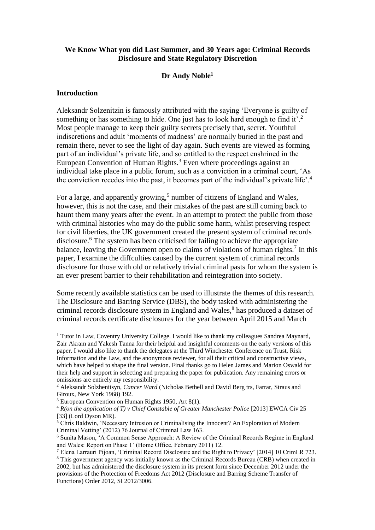# **We Know What you did Last Summer, and 30 Years ago: Criminal Records Disclosure and State Regulatory Discretion**

# **Dr Andy Noble<sup>1</sup>**

#### **Introduction**

<u>.</u>

Aleksandr Solzenitzin is famously attributed with the saying 'Everyone is guilty of something or has something to hide. One just has to look hard enough to find it'.<sup>2</sup> Most people manage to keep their guilty secrets precisely that, secret. Youthful indiscretions and adult 'moments of madness' are normally buried in the past and remain there, never to see the light of day again. Such events are viewed as forming part of an individual's private life, and so entitled to the respect enshrined in the European Convention of Human Rights.<sup>3</sup> Even where proceedings against an individual take place in a public forum, such as a conviction in a criminal court, 'As the conviction recedes into the past, it becomes part of the individual's private life'.<sup>4</sup>

For a large, and apparently growing,<sup>5</sup> number of citizens of England and Wales, however, this is not the case, and their mistakes of the past are still coming back to haunt them many years after the event. In an attempt to protect the public from those with criminal histories who may do the public some harm, whilst preserving respect for civil liberties, the UK government created the present system of criminal records disclosure.<sup>6</sup> The system has been criticised for failing to achieve the appropriate balance, leaving the Government open to claims of violations of human rights.<sup>7</sup> In this paper, I examine the diffculties caused by the current system of criminal records disclosure for those with old or relatively trivial criminal pasts for whom the system is an ever present barrier to their rehabilitation and reintegration into society.

Some recently available statistics can be used to illustrate the themes of this research. The Disclosure and Barring Service (DBS), the body tasked with administering the criminal records disclosure system in England and Wales,<sup>8</sup> has produced a dataset of criminal records certificate disclosures for the year between April 2015 and March

 $1$  Tutor in Law, Coventry University College. I would like to thank my colleagues Sandrea Maynard, Zair Akram and Yakesh Tanna for their helpful and insightful comments on the early versions of this paper. I would also like to thank the delegates at the Third Winchester Conference on Trust, Risk Information and the Law, and the anonymous reviewer, for all their critical and constructive views, which have helped to shape the final version. Final thanks go to Helen James and Marion Oswald for their help and support in selecting and preparing the paper for publication. Any remaining errors or omissions are entirely my responsibility.

<sup>2</sup> Aleksandr Solzhenitsyn, *Cancer Ward* (Nicholas Bethell and David Berg trs, Farrar, Straus and Giroux, New York 1968) 192.

<sup>3</sup> European Convention on Human Rights 1950, Art 8(1).

<sup>&</sup>lt;sup>4</sup> *R*(on the application of *T*) *v Chief Constable of Greater Manchester Police* [2013] EWCA Civ 25 [33] (Lord Dyson MR).

 $5$  Chris Baldwin, 'Necessary Intrusion or Criminalising the Innocent? An Exploration of Modern Criminal Vetting' (2012) 76 Journal of Criminal Law 163.

<sup>6</sup> Sunita Mason, 'A Common Sense Approach: A Review of the Criminal Records Regime in England and Wales: Report on Phase 1' (Home Office, February 2011) 12.

<sup>7</sup> Elena Larrauri Pijoan, 'Criminal Record Disclosure and the Right to Privacy' [2014] 10 CrimLR 723.

<sup>8</sup> This government agency was initially known as the Criminal Records Bureau (CRB) when created in 2002, but has administered the disclosure system in its present form since December 2012 under the provisions of the Protection of Freedoms Act 2012 (Disclosure and Barring Scheme Transfer of Functions) Order 2012, SI 2012/3006.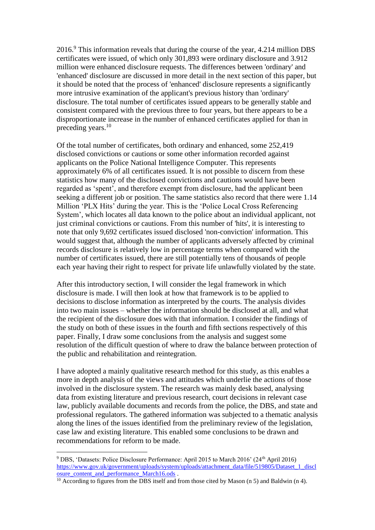2016.<sup>9</sup> This information reveals that during the course of the year, 4.214 million DBS certificates were issued, of which only 301,893 were ordinary disclosure and 3.912 million were enhanced disclosure requests. The differences between 'ordinary' and 'enhanced' disclosure are discussed in more detail in the next section of this paper, but it should be noted that the process of 'enhanced' disclosure represents a significantly more intrusive examination of the applicant's previous history than 'ordinary' disclosure. The total number of certificates issued appears to be generally stable and consistent compared with the previous three to four years, but there appears to be a disproportionate increase in the number of enhanced certificates applied for than in preceding years.<sup>10</sup>

Of the total number of certificates, both ordinary and enhanced, some 252,419 disclosed convictions or cautions or some other information recorded against applicants on the Police National Intelligence Computer. This represents approximately 6% of all certificates issued. It is not possible to discern from these statistics how many of the disclosed convictions and cautions would have been regarded as 'spent', and therefore exempt from disclosure, had the applicant been seeking a different job or position. The same statistics also record that there were 1.14 Million 'PLX Hits' during the year. This is the 'Police Local Cross Referencing System', which locates all data known to the police about an individual applicant, not just criminal convictions or cautions. From this number of 'hits', it is interesting to note that only 9,692 certificates issued disclosed 'non-conviction' information. This would suggest that, although the number of applicants adversely affected by criminal records disclosure is relatively low in percentage terms when compared with the number of certificates issued, there are still potentially tens of thousands of people each year having their right to respect for private life unlawfully violated by the state.

After this introductory section, I will consider the legal framework in which disclosure is made. I will then look at how that framework is to be applied to decisions to disclose information as interpreted by the courts. The analysis divides into two main issues – whether the information should be disclosed at all, and what the recipient of the disclosure does with that information. I consider the findings of the study on both of these issues in the fourth and fifth sections respectively of this paper. Finally, I draw some conclusions from the analysis and suggest some resolution of the difficult question of where to draw the balance between protection of the public and rehabilitation and reintegration.

I have adopted a mainly qualitative research method for this study, as this enables a more in depth analysis of the views and attitudes which underlie the actions of those involved in the disclosure system. The research was mainly desk based, analysing data from existing literature and previous research, court decisions in relevant case law, publicly available documents and records from the police, the DBS, and state and professional regulators. The gathered information was subjected to a thematic analysis along the lines of the issues identified from the preliminary review of the legislation, case law and existing literature. This enabled some conclusions to be drawn and recommendations for reform to be made.

<sup>&</sup>lt;sup>9</sup> DBS. 'Datasets: Police Disclosure Performance: April 2015 to March 2016' (24<sup>th</sup> April 2016) [https://www.gov.uk/government/uploads/system/uploads/attachment\\_data/file/519805/Dataset\\_1\\_discl](https://www.gov.uk/government/uploads/system/uploads/attachment_data/file/519805/Dataset_1_disclosure_content_and_performance_March16.ods) [osure\\_content\\_and\\_performance\\_March16.ods](https://www.gov.uk/government/uploads/system/uploads/attachment_data/file/519805/Dataset_1_disclosure_content_and_performance_March16.ods).

<sup>&</sup>lt;sup>10</sup> According to figures from the DBS itself and from those cited by Mason  $(n 5)$  and Baldwin  $(n 4)$ .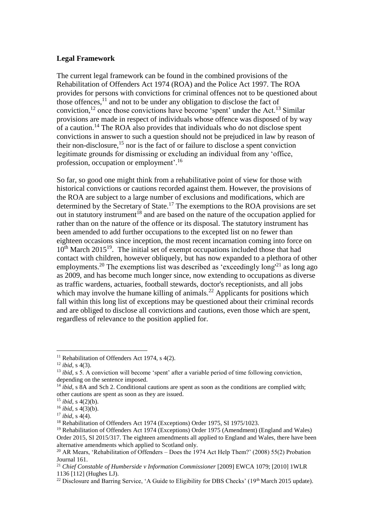## **Legal Framework**

The current legal framework can be found in the combined provisions of the Rehabilitation of Offenders Act 1974 (ROA) and the Police Act 1997. The ROA provides for persons with convictions for criminal offences not to be questioned about those offences, $11$  and not to be under any obligation to disclose the fact of conviction, $12$  once those convictions have become 'spent' under the Act.<sup>13</sup> Similar provisions are made in respect of individuals whose offence was disposed of by way of a caution.<sup>14</sup> The ROA also provides that individuals who do not disclose spent convictions in answer to such a question should not be prejudiced in law by reason of their non-disclosure, $15$  nor is the fact of or failure to disclose a spent conviction legitimate grounds for dismissing or excluding an individual from any 'office, profession, occupation or employment'.<sup>16</sup>

So far, so good one might think from a rehabilitative point of view for those with historical convictions or cautions recorded against them. However, the provisions of the ROA are subject to a large number of exclusions and modifications, which are determined by the Secretary of State.<sup>17</sup> The exemptions to the ROA provisions are set out in statutory instrument<sup>18</sup> and are based on the nature of the occupation applied for rather than on the nature of the offence or its disposal. The statutory instrument has been amended to add further occupations to the excepted list on no fewer than eighteen occasions since inception, the most recent incarnation coming into force on 10<sup>th</sup> March 2015<sup>19</sup>. The initial set of exempt occupations included those that had contact with children, however obliquely, but has now expanded to a plethora of other employments.<sup>20</sup> The exemptions list was described as 'exceedingly  $long^{21}$  as long ago as 2009, and has become much longer since, now extending to occupations as diverse as traffic wardens, actuaries, football stewards, doctor's receptionists, and all jobs which may involve the humane killing of animals.<sup>22</sup> Applicants for positions which fall within this long list of exceptions may be questioned about their criminal records and are obliged to disclose all convictions and cautions, even those which are spent, regardless of relevance to the position applied for.

<u>.</u>

<sup>&</sup>lt;sup>11</sup> Rehabilitation of Offenders Act 1974, s  $4(2)$ .

<sup>12</sup> *ibid*, s 4(3).

<sup>&</sup>lt;sup>13</sup> *ibid*, s 5. A conviction will become 'spent' after a variable period of time following conviction, depending on the sentence imposed.

<sup>&</sup>lt;sup>14</sup> *ibid*, s 8A and Sch 2. Conditional cautions are spent as soon as the conditions are complied with; other cautions are spent as soon as they are issued.

<sup>15</sup> *ibid*, s 4(2)(b).

<sup>16</sup> *ibid*, s 4(3)(b).

<sup>17</sup> *ibid*, s 4(4).

<sup>&</sup>lt;sup>18</sup> Rehabilitation of Offenders Act 1974 (Exceptions) Order 1975, SI 1975/1023.

<sup>&</sup>lt;sup>19</sup> Rehabilitation of Offenders Act 1974 (Exceptions) Order 1975 (Amendment) (England and Wales) Order 2015, SI 2015/317. The eighteen amendments all applied to England and Wales, there have been alternative amendments which applied to Scotland only.

<sup>&</sup>lt;sup>20</sup> AR Mears, 'Rehabilitation of Offenders – Does the 1974 Act Help Them?' (2008) 55(2) Probation Journal 161.

<sup>&</sup>lt;sup>21</sup> *Chief Constable of Humberside v Information Commissioner* [2009] EWCA 1079; [2010] 1WLR 1136 [112] (Hughes LJ).

<sup>&</sup>lt;sup>22</sup> Disclosure and Barring Service, 'A Guide to Eligibility for DBS Checks' (19<sup>th</sup> March 2015 update).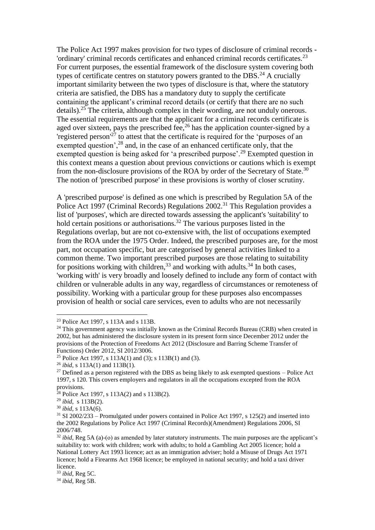The Police Act 1997 makes provision for two types of disclosure of criminal records - 'ordinary' criminal records certificates and enhanced criminal records certificates.<sup>23</sup> For current purposes, the essential framework of the disclosure system covering both types of certificate centres on statutory powers granted to the DBS.<sup>24</sup> A crucially important similarity between the two types of disclosure is that, where the statutory criteria are satisfied, the DBS has a mandatory duty to supply the certificate containing the applicant's criminal record details (or certify that there are no such details).<sup>25</sup> The criteria, although complex in their wording, are not unduly onerous. The essential requirements are that the applicant for a criminal records certificate is aged over sixteen, pays the prescribed fee,  $^{26}$  has the application counter-signed by a 'registered person'<sup>27</sup> to attest that the certificate is required for the 'purposes of an exempted question',<sup>28</sup> and, in the case of an enhanced certificate only, that the exempted question is being asked for 'a prescribed purpose'.<sup>29</sup> Exempted question in this context means a question about previous convictions or cautions which is exempt from the non-disclosure provisions of the ROA by order of the Secretary of State.<sup>30</sup> The notion of 'prescribed purpose' in these provisions is worthy of closer scrutiny.

A 'prescribed purpose' is defined as one which is prescribed by Regulation 5A of the Police Act 1997 (Criminal Records) Regulations 2002.<sup>31</sup> This Regulation provides a list of 'purposes', which are directed towards assessing the applicant's 'suitability' to hold certain positions or authorisations.<sup>32</sup> The various purposes listed in the Regulations overlap, but are not co-extensive with, the list of occupations exempted from the ROA under the 1975 Order. Indeed, the prescribed purposes are, for the most part, not occupation specific, but are categorised by general activities linked to a common theme. Two important prescribed purposes are those relating to suitability for positions working with children,  $33$  and working with adults.  $34$  In both cases, 'working with' is very broadly and loosely defined to include any form of contact with children or vulnerable adults in any way, regardless of circumstances or remoteness of possibility. Working with a particular group for these purposes also encompasses provision of health or social care services, even to adults who are not necessarily

<sup>23</sup> Police Act 1997, s 113A and s 113B.

 $24$  This government agency was initially known as the Criminal Records Bureau (CRB) when created in 2002, but has administered the disclosure system in its present form since December 2012 under the provisions of the Protection of Freedoms Act 2012 (Disclosure and Barring Scheme Transfer of Functions) Order 2012, SI 2012/3006.

<sup>&</sup>lt;sup>25</sup> Police Act 1997, s 113A(1) and (3); s 113B(1) and (3).

<sup>26</sup> *ibid*, s 113A(1) and 113B(1).

 $27$  Defined as a person registered with the DBS as being likely to ask exempted questions – Police Act 1997, s 120. This covers employers and regulators in all the occupations excepted from the ROA provisions.

 $28$  Police Act 1997, s 113A(2) and s 113B(2).

<sup>29</sup> *ibid*, s 113B(2).

<sup>30</sup> *ibid*, s 113A(6).

 $31$  SI 2002/233 – Promulgated under powers contained in Police Act 1997, s 125(2) and inserted into the 2002 Regulations by Police Act 1997 (Criminal Records)(Amendment) Regulations 2006, SI 2006/748.

<sup>&</sup>lt;sup>32</sup> *ibid*, Reg 5A (a)-(o) as amended by later statutory instruments. The main purposes are the applicant's suitability to: work with children; work with adults; to hold a Gambling Act 2005 licence; hold a National Lottery Act 1993 licence; act as an immigration adviser; hold a Misuse of Drugs Act 1971 licence; hold a Firearms Act 1968 licence; be employed in national security; and hold a taxi driver licence.

<sup>33</sup> *ibid*, Reg 5C.

<sup>34</sup> *ibid*, Reg 5B.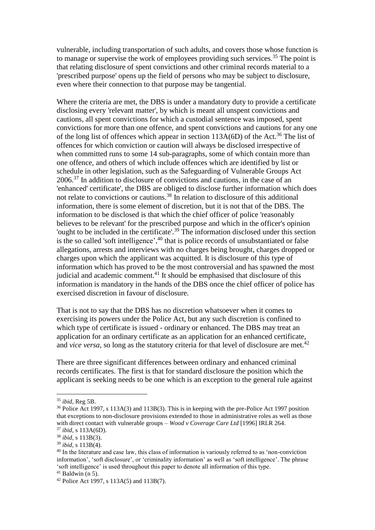vulnerable, including transportation of such adults, and covers those whose function is to manage or supervise the work of employees providing such services.<sup>35</sup> The point is that relating disclosure of spent convictions and other criminal records material to a 'prescribed purpose' opens up the field of persons who may be subject to disclosure, even where their connection to that purpose may be tangential.

Where the criteria are met, the DBS is under a mandatory duty to provide a certificate disclosing every 'relevant matter', by which is meant all unspent convictions and cautions, all spent convictions for which a custodial sentence was imposed, spent convictions for more than one offence, and spent convictions and cautions for any one of the long list of offences which appear in section  $113A(6D)$  of the Act.<sup>36</sup> The list of offences for which conviction or caution will always be disclosed irrespective of when committed runs to some 14 sub-paragraphs, some of which contain more than one offence, and others of which include offences which are identified by list or schedule in other legislation, such as the Safeguarding of Vulnerable Groups Act 2006.<sup>37</sup> In addition to disclosure of convictions and cautions, in the case of an 'enhanced' certificate', the DBS are obliged to disclose further information which does not relate to convictions or cautions.<sup>38</sup> In relation to disclosure of this additional information, there is some element of discretion, but it is not that of the DBS. The information to be disclosed is that which the chief officer of police 'reasonably believes to be relevant' for the prescribed purpose and which in the officer's opinion 'ought to be included in the certificate'.<sup>39</sup> The information disclosed under this section is the so called 'soft intelligence', $40$  that is police records of unsubstantiated or false allegations, arrests and interviews with no charges being brought, charges dropped or charges upon which the applicant was acquitted. It is disclosure of this type of information which has proved to be the most controversial and has spawned the most judicial and academic comment.<sup>41</sup> It should be emphasised that disclosure of this information is mandatory in the hands of the DBS once the chief officer of police has exercised discretion in favour of disclosure.

That is not to say that the DBS has no discretion whatsoever when it comes to exercising its powers under the Police Act, but any such discretion is confined to which type of certificate is issued - ordinary or enhanced. The DBS may treat an application for an ordinary certificate as an application for an enhanced certificate, and *vice versa*, so long as the statutory criteria for that level of disclosure are met.<sup>42</sup>

There are three significant differences between ordinary and enhanced criminal records certificates. The first is that for standard disclosure the position which the applicant is seeking needs to be one which is an exception to the general rule against

<sup>35</sup> *ibid*, Reg 5B.

<sup>36</sup> Police Act 1997, s 113A(3) and 113B(3). This is in keeping with the pre-Police Act 1997 position that exceptions to non-disclosure provisions extended to those in administrative roles as well as those with direct contact with vulnerable groups – *Wood v Coverage Care Ltd* [1996] IRLR 264.

<sup>37</sup> *ibid*, s 113A(6D). <sup>38</sup> *ibid*, s 113B(3).

<sup>39</sup> *ibid*, s 113B(4).

<sup>&</sup>lt;sup>40</sup> In the literature and case law, this class of information is variously referred to as 'non-conviction information', 'soft disclosure', or 'criminality information' as well as 'soft intelligence'. The phrase 'soft intelligence' is used throughout this paper to denote all information of this type.

 $41$  Baldwin (n 5).

<sup>42</sup> Police Act 1997, s 113A(5) and 113B(7).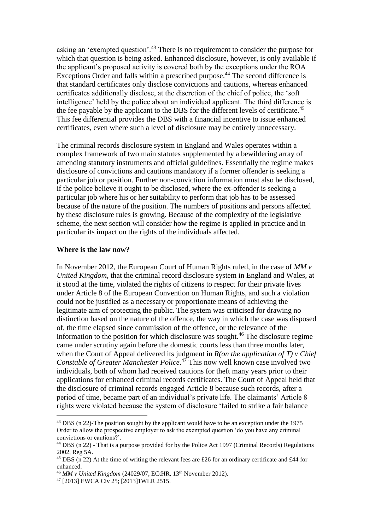asking an 'exempted question'.<sup>43</sup> There is no requirement to consider the purpose for which that question is being asked. Enhanced disclosure, however, is only available if the applicant's proposed activity is covered both by the exceptions under the ROA Exceptions Order and falls within a prescribed purpose.<sup>44</sup> The second difference is that standard certificates only disclose convictions and cautions, whereas enhanced certificates additionally disclose, at the discretion of the chief of police, the 'soft intelligence' held by the police about an individual applicant. The third difference is the fee payable by the applicant to the DBS for the different levels of certificate.<sup>45</sup> This fee differential provides the DBS with a financial incentive to issue enhanced certificates, even where such a level of disclosure may be entirely unnecessary.

The criminal records disclosure system in England and Wales operates within a complex framework of two main statutes supplemented by a bewildering array of amending statutory instruments and official guidelines. Essentially the regime makes disclosure of convictions and cautions mandatory if a former offender is seeking a particular job or position. Further non-conviction information must also be disclosed, if the police believe it ought to be disclosed, where the ex-offender is seeking a particular job where his or her suitability to perform that job has to be assessed because of the nature of the position. The numbers of positions and persons affected by these disclosure rules is growing. Because of the complexity of the legislative scheme, the next section will consider how the regime is applied in practice and in particular its impact on the rights of the individuals affected.

#### **Where is the law now?**

<u>.</u>

In November 2012, the European Court of Human Rights ruled, in the case of *MM v United Kingdom*, that the criminal record disclosure system in England and Wales, at it stood at the time, violated the rights of citizens to respect for their private lives under Article 8 of the European Convention on Human Rights, and such a violation could not be justified as a necessary or proportionate means of achieving the legitimate aim of protecting the public. The system was criticised for drawing no distinction based on the nature of the offence, the way in which the case was disposed of, the time elapsed since commission of the offence, or the relevance of the information to the position for which disclosure was sought.<sup>46</sup> The disclosure regime came under scrutiny again before the domestic courts less than three months later, when the Court of Appeal delivered its judgment in *R(on the application of T) v Chief Constable of Greater Manchester Police*. <sup>47</sup> This now well known case involved two individuals, both of whom had received cautions for theft many years prior to their applications for enhanced criminal records certificates. The Court of Appeal held that the disclosure of criminal records engaged Article 8 because such records, after a period of time, became part of an individual's private life. The claimants' Article 8 rights were violated because the system of disclosure 'failed to strike a fair balance

<sup>&</sup>lt;sup>43</sup> DBS (n 22)-The position sought by the applicant would have to be an exception under the 1975 Order to allow the prospective employer to ask the exempted question 'do you have any criminal convictions or cautions?'.

<sup>44</sup> DBS (n 22) - That is a purpose provided for by the Police Act 1997 (Criminal Records) Regulations 2002, Reg 5A.

 $45$  DBS (n 22) At the time of writing the relevant fees are £26 for an ordinary certificate and £44 for enhanced.

<sup>46</sup> *MM v United Kingdom* (24029/07, ECtHR, 13th November 2012).

<sup>47</sup> [2013] EWCA Civ 25; [2013]1WLR 2515.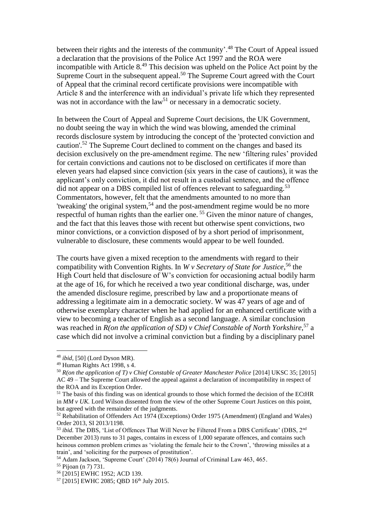between their rights and the interests of the community'.<sup>48</sup> The Court of Appeal issued a declaration that the provisions of the Police Act 1997 and the ROA were incompatible with Article  $8<sup>49</sup>$  This decision was upheld on the Police Act point by the Supreme Court in the subsequent appeal.<sup>50</sup> The Supreme Court agreed with the Court of Appeal that the criminal record certificate provisions were incompatible with Article 8 and the interference with an individual's private life which they represented was not in accordance with the  $law<sup>51</sup>$  or necessary in a democratic society.

In between the Court of Appeal and Supreme Court decisions, the UK Government, no doubt seeing the way in which the wind was blowing, amended the criminal records disclosure system by introducing the concept of the 'protected conviction and caution'.<sup>52</sup> The Supreme Court declined to comment on the changes and based its decision exclusively on the pre-amendment regime. The new 'filtering rules' provided for certain convictions and cautions not to be disclosed on certificates if more than eleven years had elapsed since conviction (six years in the case of cautions), it was the applicant's only conviction, it did not result in a custodial sentence, and the offence did not appear on a DBS compiled list of offences relevant to safeguarding.<sup>53</sup> Commentators, however, felt that the amendments amounted to no more than 'tweaking' the original system,<sup>54</sup> and the post-amendment regime would be no more respectful of human rights than the earlier one. <sup>55</sup> Given the minor nature of changes, and the fact that this leaves those with recent but otherwise spent convictions, two minor convictions, or a conviction disposed of by a short period of imprisonment, vulnerable to disclosure, these comments would appear to be well founded.

The courts have given a mixed reception to the amendments with regard to their compatibility with Convention Rights. In *W v Secretary of State for Justice*, <sup>56</sup> the High Court held that disclosure of W's conviction for occasioning actual bodily harm at the age of 16, for which he received a two year conditional discharge, was, under the amended disclosure regime, prescribed by law and a proportionate means of addressing a legitimate aim in a democratic society. W was 47 years of age and of otherwise exemplary character when he had applied for an enhanced certificate with a view to becoming a teacher of English as a second language. A similar conclusion was reached in *R(on the application of SD) v Chief Constable of North Yorkshire*, <sup>57</sup> a case which did not involve a criminal conviction but a finding by a disciplinary panel

<u>.</u>

<sup>48</sup> *ibid*, [50] (Lord Dyson MR).

<sup>49</sup> Human Rights Act 1998, s 4.

<sup>50</sup> *R(on the application of T) v Chief Constable of Greater Manchester Police* [2014] UKSC 35; [2015] AC 49 – The Supreme Court allowed the appeal against a declaration of incompatibility in respect of the ROA and its Exception Order.

<sup>&</sup>lt;sup>51</sup> The basis of this finding was on identical grounds to those which formed the decision of the ECtHR in *MM v UK.* Lord Wilson dissented from the view of the other Supreme Court Justices on this point, but agreed with the remainder of the judgments.

<sup>52</sup> Rehabilitation of Offenders Act 1974 (Exceptions) Order 1975 (Amendment) (England and Wales) Order 2013, SI 2013/1198.

<sup>&</sup>lt;sup>53</sup> *ibid.* The DBS, 'List of Offences That Will Never be Filtered From a DBS Certificate' (DBS, 2<sup>nd</sup>) December 2013) runs to 31 pages, contains in excess of 1,000 separate offences, and contains such heinous common problem crimes as 'violating the female heir to the Crown', 'throwing missiles at a train', and 'soliciting for the purposes of prostitution'.

<sup>54</sup> Adam Jackson, 'Supreme Court' (2014) 78(6) Journal of Criminal Law 463, 465.

<sup>55</sup> Pijoan (n 7) 731.

<sup>56</sup> [2015] EWHC 1952; ACD 139.

<sup>&</sup>lt;sup>57</sup> [2015] EWHC 2085; QBD 16<sup>th</sup> July 2015.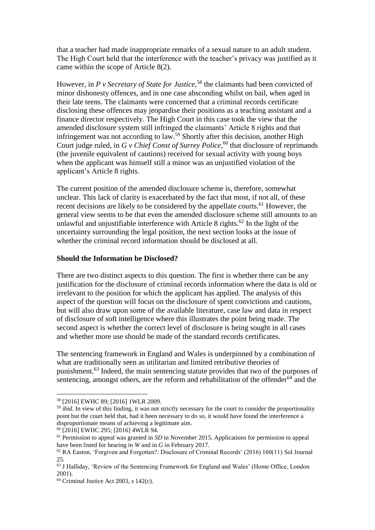that a teacher had made inappropriate remarks of a sexual nature to an adult student. The High Court held that the interference with the teacher's privacy was justified as it came within the scope of Article 8(2).

However, in *P v Secretary of State for Justice*,<sup>58</sup> the claimants had been convicted of minor dishonesty offences, and in one case absconding whilst on bail, when aged in their late teens. The claimants were concerned that a criminal records certificate disclosing these offences may jeopardise their positions as a teaching assistant and a finance director respectively. The High Court in this case took the view that the amended disclosure system still infringed the claimants' Article 8 rights and that infringement was not according to law.<sup>59</sup> Shortly after this decision, another High Court judge ruled, in *G v Chief Const of Surrey Police*, <sup>60</sup> that disclosure of reprimands (the juvenile equivalent of cautions) received for sexual activity with young boys when the applicant was himself still a minor was an unjustified violation of the applicant's Article 8 rights.

The current position of the amended disclosure scheme is, therefore, somewhat unclear. This lack of clarity is exacerbated by the fact that most, if not all, of these recent decisions are likely to be considered by the appellate courts.<sup>61</sup> However, the general view seems to be that even the amended disclosure scheme still amounts to an unlawful and unjustifiable interference with Article 8 rights.<sup>62</sup> In the light of the uncertainty surrounding the legal position, the next section looks at the issue of whether the criminal record information should be disclosed at all.

## **Should the Information be Disclosed?**

There are two distinct aspects to this question. The first is whether there can be any justification for the disclosure of criminal records information where the data is old or irrelevant to the position for which the applicant has applied. The analysis of this aspect of the question will focus on the disclosure of spent convictions and cautions, but will also draw upon some of the available literature, case law and data in respect of disclosure of soft intelligence where this illustrates the point being made. The second aspect is whether the correct level of disclosure is being sought in all cases and whether more use should be made of the standard records certificates.

The sentencing framework in England and Wales is underpinned by a combination of what are traditionally seen as utilitarian and limited retributive theories of punishment.<sup>63</sup> Indeed, the main sentencing statute provides that two of the purposes of sentencing, amongst others, are the reform and rehabilitation of the offender<sup>64</sup> and the

<sup>58</sup> [2016] EWHC 89; [2016] 1WLR 2009.

<sup>&</sup>lt;sup>59</sup> *ibid*. In view of this finding, it was not strictly necessary for the court to consider the proportionality point but the court held that, had it been necessary to do so, it would have found the interference a disproportionate means of achieving a legitimate aim.

<sup>&</sup>lt;sup>60</sup> [2016] EWHC 295; [2016] 4WLR 94.

<sup>&</sup>lt;sup>61</sup> Permission to appeal was granted in *SD* in November 2015. Applications for permission to appeal have been listed for hearing in *W* and in *G* in February 2017.

<sup>62</sup> RA Easton, 'Forgiven and Forgotten?: Disclosure of Criminal Records' (2016) 160(11) Sol Journal 25.

<sup>&</sup>lt;sup>63</sup> J Halliday, 'Review of the Sentencing Framework for England and Wales' (Home Office, London 2001).

<sup>64</sup> Criminal Justice Act 2003, s 142(c).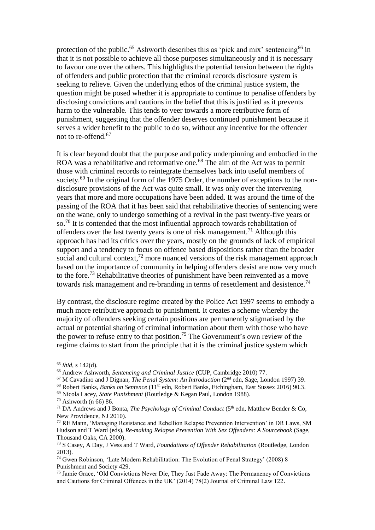protection of the public.<sup>65</sup> Ashworth describes this as 'pick and mix' sentencing<sup>66</sup> in that it is not possible to achieve all those purposes simultaneously and it is necessary to favour one over the others. This highlights the potential tension between the rights of offenders and public protection that the criminal records disclosure system is seeking to relieve. Given the underlying ethos of the criminal justice system, the question might be posed whether it is appropriate to continue to penalise offenders by disclosing convictions and cautions in the belief that this is justified as it prevents harm to the vulnerable. This tends to veer towards a more retributive form of punishment, suggesting that the offender deserves continued punishment because it serves a wider benefit to the public to do so, without any incentive for the offender not to re-offend. 67

It is clear beyond doubt that the purpose and policy underpinning and embodied in the ROA was a rehabilitative and reformative one.<sup>68</sup> The aim of the Act was to permit those with criminal records to reintegrate themselves back into useful members of society.<sup>69</sup> In the original form of the 1975 Order, the number of exceptions to the nondisclosure provisions of the Act was quite small. It was only over the intervening years that more and more occupations have been added. It was around the time of the passing of the ROA that it has been said that rehabilitative theories of sentencing were on the wane, only to undergo something of a revival in the past twenty-five years or so.<sup>70</sup> It is contended that the most influential approach towards rehabilitation of offenders over the last twenty years is one of risk management.<sup>71</sup> Although this approach has had its critics over the years, mostly on the grounds of lack of empirical support and a tendency to focus on offence based dispositions rather than the broader social and cultural context, $^{72}$  more nuanced versions of the risk management approach based on the importance of community in helping offenders desist are now very much to the fore.<sup>73</sup> Rehabilitative theories of punishment have been reinvented as a move towards risk management and re-branding in terms of resettlement and desistence.<sup>74</sup>

By contrast, the disclosure regime created by the Police Act 1997 seems to embody a much more retributive approach to punishment. It creates a scheme whereby the majority of offenders seeking certain positions are permanently stigmatised by the actual or potential sharing of criminal information about them with those who have the power to refuse entry to that position.<sup>75</sup> The Government's own review of the regime claims to start from the principle that it is the criminal justice system which

<sup>65</sup> *ibid*, s 142(d).

<sup>66</sup> Andrew Ashworth, *Sentencing and Criminal Justice* (CUP, Cambridge 2010) 77.

<sup>67</sup> M Cavadino and J Dignan, *The Penal System: An Introduction* (2nd edn, Sage, London 1997) 39.

<sup>&</sup>lt;sup>68</sup> Robert Banks, *Banks on Sentence* (11<sup>th</sup> edn, Robert Banks, Etchingham, East Sussex 2016) 90.3.

<sup>69</sup> Nicola Lacey, *State Punishment* (Routledge & Kegan Paul, London 1988).

 $70$  Ashworth (n 66) 86.

<sup>&</sup>lt;sup>71</sup> DA Andrews and J Bonta. *The Psychology of Criminal Conduct* (5<sup>th</sup> edn, Matthew Bender & Co, New Providence, NJ 2010).

<sup>72</sup> RE Mann, 'Managing Resistance and Rebellion Relapse Prevention Intervention' in DR Laws, SM Hudson and T Ward (eds), *Re-making Relapse Prevention With Sex Offenders: A Sourcebook* (Sage, Thousand Oaks, CA 2000).

<sup>73</sup> S Casey, A Day, J Vess and T Ward, *Foundations of Offender Rehabilitation* (Routledge, London 2013).

<sup>74</sup> Gwen Robinson, 'Late Modern Rehabilitation: The Evolution of Penal Strategy' (2008) 8 Punishment and Society 429.

<sup>75</sup> Jamie Grace, 'Old Convictions Never Die, They Just Fade Away: The Permanency of Convictions and Cautions for Criminal Offences in the UK' (2014) 78(2) Journal of Criminal Law 122.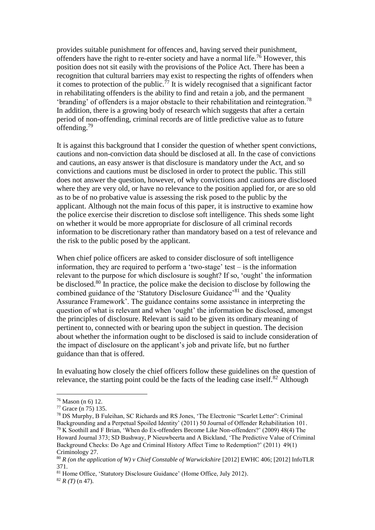provides suitable punishment for offences and, having served their punishment, offenders have the right to re-enter society and have a normal life.<sup>76</sup> However, this position does not sit easily with the provisions of the Police Act. There has been a recognition that cultural barriers may exist to respecting the rights of offenders when it comes to protection of the public.<sup> $77$ </sup> It is widely recognised that a significant factor in rehabilitating offenders is the ability to find and retain a job, and the permanent 'branding' of offenders is a major obstacle to their rehabilitation and reintegration.<sup>78</sup> In addition, there is a growing body of research which suggests that after a certain period of non-offending, criminal records are of little predictive value as to future offending.<sup>79</sup>

It is against this background that I consider the question of whether spent convictions, cautions and non-conviction data should be disclosed at all. In the case of convictions and cautions, an easy answer is that disclosure is mandatory under the Act, and so convictions and cautions must be disclosed in order to protect the public. This still does not answer the question, however, of why convictions and cautions are disclosed where they are very old, or have no relevance to the position applied for, or are so old as to be of no probative value is assessing the risk posed to the public by the applicant. Although not the main focus of this paper, it is instructive to examine how the police exercise their discretion to disclose soft intelligence. This sheds some light on whether it would be more appropriate for disclosure of all criminal records information to be discretionary rather than mandatory based on a test of relevance and the risk to the public posed by the applicant.

When chief police officers are asked to consider disclosure of soft intelligence information, they are required to perform a 'two-stage' test – is the information relevant to the purpose for which disclosure is sought? If so, 'ought' the information be disclosed.<sup>80</sup> In practice, the police make the decision to disclose by following the combined guidance of the 'Statutory Disclosure Guidance'<sup>81</sup> and the 'Ouality' Assurance Framework'. The guidance contains some assistance in interpreting the question of what is relevant and when 'ought' the information be disclosed, amongst the principles of disclosure. Relevant is said to be given its ordinary meaning of pertinent to, connected with or bearing upon the subject in question. The decision about whether the information ought to be disclosed is said to include consideration of the impact of disclosure on the applicant's job and private life, but no further guidance than that is offered.

In evaluating how closely the chief officers follow these guidelines on the question of relevance, the starting point could be the facts of the leading case itself.<sup>82</sup> Although

<sup>76</sup> Mason (n 6) 12.

<sup>77</sup> Grace (n 75) 135.

<sup>78</sup> DS Murphy, B Fuleihan, SC Richards and RS Jones, 'The Electronic "Scarlet Letter": Criminal Backgrounding and a Perpetual Spoiled Identity' (2011) 50 Journal of Offender Rehabilitation 101. <sup>79</sup> K Soothill and F Brian, 'When do Ex-offenders Become Like Non-offenders?' (2009) 48(4) The Howard Journal 373; SD Bushway, P Nieuwbeerta and A Bickland, 'The Predictive Value of Criminal Background Checks: Do Age and Criminal History Affect Time to Redemption?' (2011) 49(1) Criminology 27.

<sup>&</sup>lt;sup>80</sup> *R* (on the application of W) v Chief Constable of Warwickshire [2012] EWHC 406; [2012] InfoTLR 371.

<sup>&</sup>lt;sup>81</sup> Home Office, 'Statutory Disclosure Guidance' (Home Office, July 2012).

 $82 R(T)$  (n 47).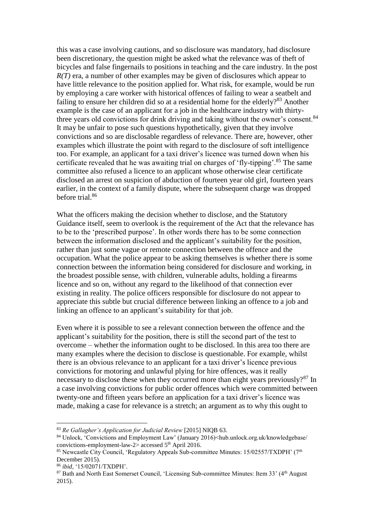this was a case involving cautions, and so disclosure was mandatory, had disclosure been discretionary, the question might be asked what the relevance was of theft of bicycles and false fingernails to positions in teaching and the care industry. In the post *R(T)* era, a number of other examples may be given of disclosures which appear to have little relevance to the position applied for. What risk, for example, would be run by employing a care worker with historical offences of failing to wear a seatbelt and failing to ensure her children did so at a residential home for the elderly?<sup>83</sup> Another example is the case of an applicant for a job in the healthcare industry with thirtythree years old convictions for drink driving and taking without the owner's consent.<sup>84</sup> It may be unfair to pose such questions hypothetically, given that they involve convictions and so are disclosable regardless of relevance. There are, however, other examples which illustrate the point with regard to the disclosure of soft intelligence too. For example, an applicant for a taxi driver's licence was turned down when his certificate revealed that he was awaiting trial on charges of 'fly-tipping'.<sup>85</sup> The same committee also refused a licence to an applicant whose otherwise clear certificate disclosed an arrest on suspicion of abduction of fourteen year old girl, fourteen years earlier, in the context of a family dispute, where the subsequent charge was dropped before trial.<sup>86</sup>

What the officers making the decision whether to disclose, and the Statutory Guidance itself, seem to overlook is the requirement of the Act that the relevance has to be to the 'prescribed purpose'. In other words there has to be some connection between the information disclosed and the applicant's suitability for the position, rather than just some vague or remote connection between the offence and the occupation. What the police appear to be asking themselves is whether there is some connection between the information being considered for disclosure and working, in the broadest possible sense, with children, vulnerable adults, holding a firearms licence and so on, without any regard to the likelihood of that connection ever existing in reality. The police officers responsible for disclosure do not appear to appreciate this subtle but crucial difference between linking an offence to a job and linking an offence to an applicant's suitability for that job.

Even where it is possible to see a relevant connection between the offence and the applicant's suitability for the position, there is still the second part of the test to overcome – whether the information ought to be disclosed. In this area too there are many examples where the decision to disclose is questionable. For example, whilst there is an obvious relevance to an applicant for a taxi driver's licence previous convictions for motoring and unlawful plying for hire offences, was it really necessary to disclose these when they occurred more than eight years previously?<sup>87</sup> In a case involving convictions for public order offences which were committed between twenty-one and fifteen years before an application for a taxi driver's licence was made, making a case for relevance is a stretch; an argument as to why this ought to

<sup>83</sup> *Re Gallagher's Application for Judicial Review* [2015] NIQB 63.

<sup>84</sup> Unlock, 'Convictions and Employment Law' (January 2016)<hub.unlock.org.uk/knowledgebase/ convictions-employment-law-2> accessed  $5<sup>th</sup>$  April 2016.

<sup>&</sup>lt;sup>85</sup> Newcastle City Council, 'Regulatory Appeals Sub-committee Minutes:  $15/02557/TXDPH'$  (7<sup>th</sup>) December 2015).

<sup>86</sup> *ibid*, '15/02071/TXDPH'.

<sup>&</sup>lt;sup>87</sup> Bath and North East Somerset Council, 'Licensing Sub-committee Minutes: Item 33' (4<sup>th</sup> August) 2015).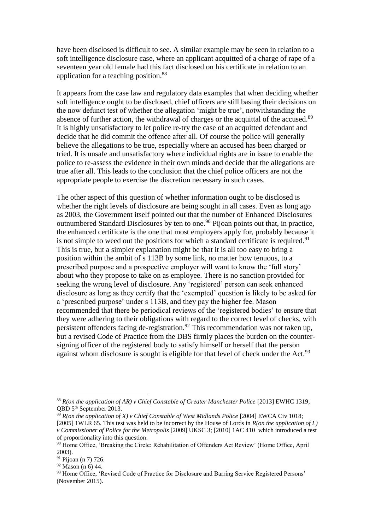have been disclosed is difficult to see. A similar example may be seen in relation to a soft intelligence disclosure case, where an applicant acquitted of a charge of rape of a seventeen year old female had this fact disclosed on his certificate in relation to an application for a teaching position.<sup>88</sup>

It appears from the case law and regulatory data examples that when deciding whether soft intelligence ought to be disclosed, chief officers are still basing their decisions on the now defunct test of whether the allegation 'might be true', notwithstanding the absence of further action, the withdrawal of charges or the acquittal of the accused.<sup>89</sup> It is highly unsatisfactory to let police re-try the case of an acquitted defendant and decide that he did commit the offence after all. Of course the police will generally believe the allegations to be true, especially where an accused has been charged or tried. It is unsafe and unsatisfactory where individual rights are in issue to enable the police to re-assess the evidence in their own minds and decide that the allegations are true after all. This leads to the conclusion that the chief police officers are not the appropriate people to exercise the discretion necessary in such cases.

The other aspect of this question of whether information ought to be disclosed is whether the right levels of disclosure are being sought in all cases. Even as long ago as 2003, the Government itself pointed out that the number of Enhanced Disclosures outnumbered Standard Disclosures by ten to one.<sup>90</sup> Pijoan points out that, in practice, the enhanced certificate is the one that most employers apply for, probably because it is not simple to weed out the positions for which a standard certificate is required.<sup>91</sup> This is true, but a simpler explanation might be that it is all too easy to bring a position within the ambit of s 113B by some link, no matter how tenuous, to a prescribed purpose and a prospective employer will want to know the 'full story' about who they propose to take on as employee. There is no sanction provided for seeking the wrong level of disclosure. Any 'registered' person can seek enhanced disclosure as long as they certify that the 'exempted' question is likely to be asked for a 'prescribed purpose' under s 113B, and they pay the higher fee. Mason recommended that there be periodical reviews of the 'registered bodies' to ensure that they were adhering to their obligations with regard to the correct level of checks, with persistent offenders facing de-registration.<sup>92</sup> This recommendation was not taken up, but a revised Code of Practice from the DBS firmly places the burden on the countersigning officer of the registered body to satisfy himself or herself that the person against whom disclosure is sought is eligible for that level of check under the Act.<sup>93</sup>

<sup>88</sup> *R(on the application of AR) v Chief Constable of Greater Manchester Police* [2013] EWHC 1319; QBD 5th September 2013.

<sup>89</sup> *R(on the application of X) v Chief Constable of West Midlands Police* [2004] EWCA Civ 1018; [2005] 1WLR 65. This test was held to be incorrect by the House of Lords in *R(on the application of L) v Commissioner of Police for the Metropolis* [2009] UKSC 3; [2010] 1AC 410which introduced a test of proportionality into this question.

<sup>&</sup>lt;sup>90</sup> Home Office, 'Breaking the Circle: Rehabilitation of Offenders Act Review' (Home Office, April 2003).

<sup>91</sup> Pijoan (n 7) 726.

 $92$  Mason (n 6) 44.

<sup>93</sup> Home Office, 'Revised Code of Practice for Disclosure and Barring Service Registered Persons' (November 2015).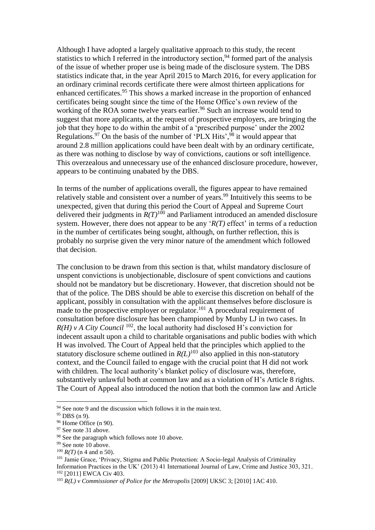Although I have adopted a largely qualitative approach to this study, the recent statistics to which I referred in the introductory section,<sup>94</sup> formed part of the analysis of the issue of whether proper use is being made of the disclosure system. The DBS statistics indicate that, in the year April 2015 to March 2016, for every application for an ordinary criminal records certificate there were almost thirteen applications for enhanced certificates.<sup>95</sup> This shows a marked increase in the proportion of enhanced certificates being sought since the time of the Home Office's own review of the working of the ROA some twelve years earlier.<sup>96</sup> Such an increase would tend to suggest that more applicants, at the request of prospective employers, are bringing the job that they hope to do within the ambit of a 'prescribed purpose' under the 2002 Regulations.  $97$  On the basis of the number of 'PLX Hits',  $98$  it would appear that around 2.8 million applications could have been dealt with by an ordinary certificate, as there was nothing to disclose by way of convictions, cautions or soft intelligence. This overzealous and unnecessary use of the enhanced disclosure procedure, however, appears to be continuing unabated by the DBS.

In terms of the number of applications overall, the figures appear to have remained relatively stable and consistent over a number of years.<sup>99</sup> Intuitively this seems to be unexpected, given that during this period the Court of Appeal and Supreme Court delivered their judgments in  $R(T)^{100}$  and Parliament introduced an amended disclosure system. However, there does not appear to be any '*R(T)* effect' in terms of a reduction in the number of certificates being sought, although, on further reflection, this is probably no surprise given the very minor nature of the amendment which followed that decision.

The conclusion to be drawn from this section is that, whilst mandatory disclosure of unspent convictions is unobjectionable, disclosure of spent convictions and cautions should not be mandatory but be discretionary. However, that discretion should not be that of the police. The DBS should be able to exercise this discretion on behalf of the applicant, possibly in consultation with the applicant themselves before disclosure is made to the prospective employer or regulator.<sup>101</sup> A procedural requirement of consultation before disclosure has been championed by Munby LJ in two cases. In  $R(H)$  v A City Council<sup>102</sup>, the local authority had disclosed H's conviction for indecent assault upon a child to charitable organisations and public bodies with which H was involved. The Court of Appeal held that the principles which applied to the statutory disclosure scheme outlined in  $R(L)^{103}$  also applied in this non-statutory context, and the Council failed to engage with the crucial point that H did not work with children. The local authority's blanket policy of disclosure was, therefore, substantively unlawful both at common law and as a violation of H's Article 8 rights. The Court of Appeal also introduced the notion that both the common law and Article

<u>.</u>

<sup>100</sup> *R(T)* (n 4 and n 50).

<sup>&</sup>lt;sup>94</sup> See note 9 and the discussion which follows it in the main text.

 $95$  DBS (n 9).

<sup>96</sup> Home Office (n 90).

<sup>&</sup>lt;sup>97</sup> See note 31 above.

<sup>&</sup>lt;sup>98</sup> See the paragraph which follows note 10 above.

<sup>&</sup>lt;sup>99</sup> See note 10 above.

<sup>101</sup> Jamie Grace, 'Privacy, Stigma and Public Protection: A Socio-legal Analysis of Criminality Information Practices in the UK' (2013) 41 International Journal of Law, Crime and Justice 303, 321. <sup>102</sup> [2011] EWCA Civ 403.

<sup>&</sup>lt;sup>103</sup> *R(L) v Commissioner of Police for the Metropolis* [2009] UKSC 3; [2010] 1AC 410.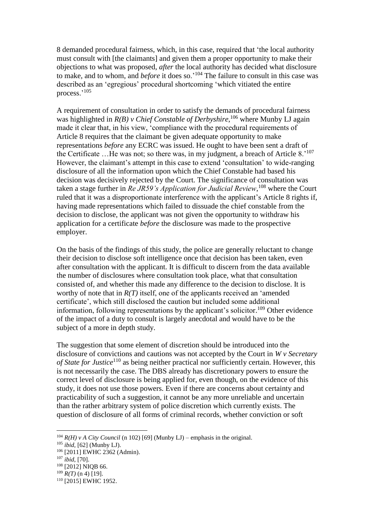8 demanded procedural fairness, which, in this case, required that 'the local authority must consult with [the claimants] and given them a proper opportunity to make their objections to what was proposed, *after* the local authority has decided what disclosure to make, and to whom, and *before* it does so.'<sup>104</sup> The failure to consult in this case was described as an 'egregious' procedural shortcoming 'which vitiated the entire process.'<sup>105</sup>

A requirement of consultation in order to satisfy the demands of procedural fairness was highlighted in *R(B) v Chief Constable of Derbyshire*,<sup>106</sup> where Munby LJ again made it clear that, in his view, 'compliance with the procedural requirements of Article 8 requires that the claimant be given adequate opportunity to make representations *before* any ECRC was issued. He ought to have been sent a draft of the Certificate ... He was not; so there was, in my judgment, a breach of Article 8.<sup>'107</sup> However, the claimant's attempt in this case to extend 'consultation' to wide-ranging disclosure of all the information upon which the Chief Constable had based his decision was decisively rejected by the Court. The significance of consultation was taken a stage further in *Re JR59's Application for Judicial Review*, <sup>108</sup> where the Court ruled that it was a disproportionate interference with the applicant's Article 8 rights if, having made representations which failed to dissuade the chief constable from the decision to disclose, the applicant was not given the opportunity to withdraw his application for a certificate *before* the disclosure was made to the prospective employer.

On the basis of the findings of this study, the police are generally reluctant to change their decision to disclose soft intelligence once that decision has been taken, even after consultation with the applicant. It is difficult to discern from the data available the number of disclosures where consultation took place, what that consultation consisted of, and whether this made any difference to the decision to disclose. It is worthy of note that in *R(T)* itself, one of the applicants received an 'amended certificate', which still disclosed the caution but included some additional information, following representations by the applicant's solicitor.<sup>109</sup> Other evidence of the impact of a duty to consult is largely anecdotal and would have to be the subject of a more in depth study.

The suggestion that some element of discretion should be introduced into the disclosure of convictions and cautions was not accepted by the Court in *W v Secretary of State for Justice*<sup>110</sup> as being neither practical nor sufficiently certain. However, this is not necessarily the case. The DBS already has discretionary powers to ensure the correct level of disclosure is being applied for, even though, on the evidence of this study, it does not use those powers. Even if there are concerns about certainty and practicability of such a suggestion, it cannot be any more unreliable and uncertain than the rather arbitrary system of police discretion which currently exists. The question of disclosure of all forms of criminal records, whether conviction or soft

<sup>&</sup>lt;sup>104</sup>  $R(H)$  v A City Council (n 102) [69] (Munby LJ) – emphasis in the original.

<sup>105</sup> *ibid,* [62] (Munby LJ).

<sup>106</sup> [2011] EWHC 2362 (Admin).

<sup>107</sup> *ibid,* [70].

 $108$  [2012] NIOB 66.

 $109$  *R(T)* (n 4) [19].

<sup>110</sup> [2015] EWHC 1952.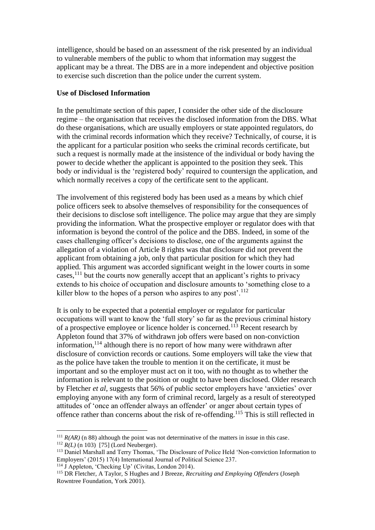intelligence, should be based on an assessment of the risk presented by an individual to vulnerable members of the public to whom that information may suggest the applicant may be a threat. The DBS are in a more independent and objective position to exercise such discretion than the police under the current system.

# **Use of Disclosed Information**

In the penultimate section of this paper, I consider the other side of the disclosure regime – the organisation that receives the disclosed information from the DBS. What do these organisations, which are usually employers or state appointed regulators, do with the criminal records information which they receive? Technically, of course, it is the applicant for a particular position who seeks the criminal records certificate, but such a request is normally made at the insistence of the individual or body having the power to decide whether the applicant is appointed to the position they seek. This body or individual is the 'registered body' required to countersign the application, and which normally receives a copy of the certificate sent to the applicant.

The involvement of this registered body has been used as a means by which chief police officers seek to absolve themselves of responsibility for the consequences of their decisions to disclose soft intelligence. The police may argue that they are simply providing the information. What the prospective employer or regulator does with that information is beyond the control of the police and the DBS. Indeed, in some of the cases challenging officer's decisions to disclose, one of the arguments against the allegation of a violation of Article 8 rights was that disclosure did not prevent the applicant from obtaining a job, only that particular position for which they had applied. This argument was accorded significant weight in the lower courts in some cases,<sup>111</sup> but the courts now generally accept that an applicant's rights to privacy extends to his choice of occupation and disclosure amounts to 'something close to a killer blow to the hopes of a person who aspires to any post'.<sup>112</sup>

It is only to be expected that a potential employer or regulator for particular occupations will want to know the 'full story' so far as the previous criminal history of a prospective employee or licence holder is concerned.<sup>113</sup> Recent research by Appleton found that 37% of withdrawn job offers were based on non-conviction information,<sup>114</sup> although there is no report of how many were withdrawn after disclosure of conviction records or cautions. Some employers will take the view that as the police have taken the trouble to mention it on the certificate, it must be important and so the employer must act on it too, with no thought as to whether the information is relevant to the position or ought to have been disclosed. Older research by Fletcher *et al*, suggests that 56% of public sector employers have 'anxieties' over employing anyone with any form of criminal record, largely as a result of stereotyped attitudes of 'once an offender always an offender' or anger about certain types of offence rather than concerns about the risk of re-offending.<sup>115</sup> This is still reflected in

<sup>&</sup>lt;sup>111</sup>  $R(AR)$  (n 88) although the point was not determinative of the matters in issue in this case. <sup>112</sup> *R(L)* (n 103)[75] (Lord Neuberger).

<sup>113</sup> Daniel Marshall and Terry Thomas, 'The Disclosure of Police Held 'Non-conviction Information to Employers' (2015) 17(4) International Journal of Political Science 237.

 $114 \text{ J}$  Appleton, 'Checking Up' (Civitas, London 2014).

<sup>115</sup> DR Fletcher, A Taylor, S Hughes and J Breeze, *Recruiting and Employing Offenders* (Joseph Rowntree Foundation, York 2001).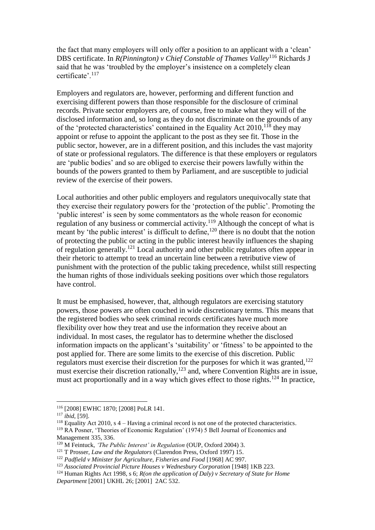the fact that many employers will only offer a position to an applicant with a 'clean' DBS certificate. In *R(Pinnington) v Chief Constable of Thames Valley*<sup>116</sup> Richards J said that he was 'troubled by the employer's insistence on a completely clean certificate'.<sup>117</sup>

Employers and regulators are, however, performing and different function and exercising different powers than those responsible for the disclosure of criminal records. Private sector employers are, of course, free to make what they will of the disclosed information and, so long as they do not discriminate on the grounds of any of the 'protected characteristics' contained in the Equality Act  $2010$ ,  $118$  they may appoint or refuse to appoint the applicant to the post as they see fit. Those in the public sector, however, are in a different position, and this includes the vast majority of state or professional regulators. The difference is that these employers or regulators are 'public bodies' and so are obliged to exercise their powers lawfully within the bounds of the powers granted to them by Parliament, and are susceptible to judicial review of the exercise of their powers.

Local authorities and other public employers and regulators unequivocally state that they exercise their regulatory powers for the 'protection of the public'. Promoting the 'public interest' is seen by some commentators as the whole reason for economic regulation of any business or commercial activity.<sup>119</sup> Although the concept of what is meant by 'the public interest' is difficult to define,  $120$  there is no doubt that the notion of protecting the public or acting in the public interest heavily influences the shaping of regulation generally.<sup>121</sup> Local authority and other public regulators often appear in their rhetoric to attempt to tread an uncertain line between a retributive view of punishment with the protection of the public taking precedence, whilst still respecting the human rights of those individuals seeking positions over which those regulators have control.

It must be emphasised, however, that, although regulators are exercising statutory powers, those powers are often couched in wide discretionary terms. This means that the registered bodies who seek criminal records certificates have much more flexibility over how they treat and use the information they receive about an individual. In most cases, the regulator has to determine whether the disclosed information impacts on the applicant's 'suitability' or 'fitness' to be appointed to the post applied for. There are some limits to the exercise of this discretion. Public regulators must exercise their discretion for the purposes for which it was granted,<sup>122</sup> must exercise their discretion rationally,<sup>123</sup> and, where Convention Rights are in issue, must act proportionally and in a way which gives effect to those rights.<sup>124</sup> In practice,

<u>.</u>

<sup>116</sup> [2008] EWHC 1870; [2008] PoLR 141.

<sup>117</sup> *ibid*, [59].

<sup>&</sup>lt;sup>118</sup> Equality Act 2010, s 4 – Having a criminal record is not one of the protected characteristics.

<sup>119</sup> RA Posner, 'Theories of Economic Regulation' (1974) 5 Bell Journal of Economics and Management 335, 336.

<sup>&</sup>lt;sup>120</sup> M Feintuck, *'The Public Interest' in Regulation* (OUP, Oxford 2004) 3.

<sup>121</sup> T Prosser, *Law and the Regulators* (Clarendon Press, Oxford 1997) 15.

<sup>&</sup>lt;sup>122</sup> Padfield v Minister for Agriculture, Fisheries and Food [1968] AC 997.

<sup>&</sup>lt;sup>123</sup> Associated Provincial Picture Houses v Wednesbury Corporation [1948] 1KB 223.

<sup>124</sup> Human Rights Act 1998, s 6; *R(on the application of Daly) v Secretary of State for Home Department* [2001] UKHL 26; [2001] 2AC 532.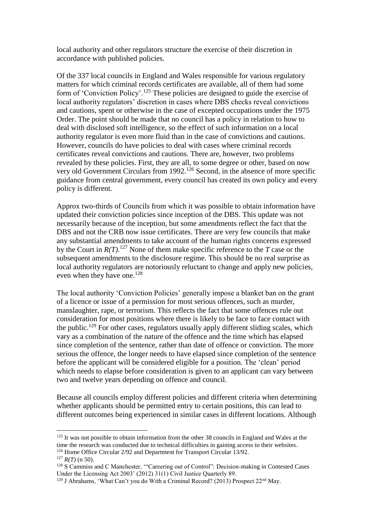local authority and other regulators structure the exercise of their discretion in accordance with published policies.

Of the 337 local councils in England and Wales responsible for various regulatory matters for which criminal records certificates are available, all of them had some form of 'Conviction Policy'.<sup>125</sup> These policies are designed to guide the exercise of local authority regulators' discretion in cases where DBS checks reveal convictions and cautions, spent or otherwise in the case of excepted occupations under the 1975 Order. The point should be made that no council has a policy in relation to how to deal with disclosed soft intelligence, so the effect of such information on a local authority regulator is even more fluid than in the case of convictions and cautions. However, councils do have policies to deal with cases where criminal records certificates reveal convictions and cautions. There are, however, two problems revealed by these policies. First, they are all, to some degree or other, based on now very old Government Circulars from 1992.<sup>126</sup> Second, in the absence of more specific guidance from central government, every council has created its own policy and every policy is different.

Approx two-thirds of Councils from which it was possible to obtain information have updated their conviction policies since inception of the DBS. This update was not necessarily because of the inception, but some amendments reflect the fact that the DBS and not the CRB now issue certificates. There are very few councils that make any substantial amendments to take account of the human rights concerns expressed by the Court in  $R(T)$ <sup>127</sup> None of them make specific reference to the *T* case or the subsequent amendments to the disclosure regime. This should be no real surprise as local authority regulators are notoriously reluctant to change and apply new policies, even when they have one.<sup>128</sup>

The local authority 'Conviction Policies' generally impose a blanket ban on the grant of a licence or issue of a permission for most serious offences, such as murder, manslaughter, rape, or terrorism. This reflects the fact that some offences rule out consideration for most positions where there is likely to be face to face contact with the public.<sup>129</sup> For other cases, regulators usually apply different sliding scales, which vary as a combination of the nature of the offence and the time which has elapsed since completion of the sentence, rather than date of offence or conviction. The more serious the offence, the longer needs to have elapsed since completion of the sentence before the applicant will be considered eligible for a position. The 'clean' period which needs to elapse before consideration is given to an applicant can vary between two and twelve years depending on offence and council.

Because all councils employ different policies and different criteria when determining whether applicants should be permitted entry to certain positions, this can lead to different outcomes being experienced in similar cases in different locations. Although

<sup>&</sup>lt;sup>125</sup> It was not possible to obtain information from the other 38 councils in England and Wales at the time the research was conducted due to technical difficulties in gaining access to their websites. <sup>126</sup> Home Office Circular 2/92 and Department for Transport Circular 13/92.

 $127$  *R(T)* (n 50).

<sup>&</sup>lt;sup>128</sup> S Cammiss and C Manchester, "Careering out of Control": Decision-making in Contested Cases Under the Licensing Act 2003' (2012) 31(1) Civil Justice Quarterly 89.

<sup>&</sup>lt;sup>129</sup> J Abrahams, 'What Can't you do With a Criminal Record? (2013) Prospect 22<sup>nd</sup> May.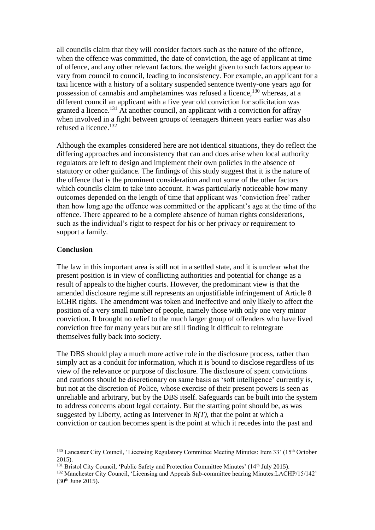all councils claim that they will consider factors such as the nature of the offence, when the offence was committed, the date of conviction, the age of applicant at time of offence, and any other relevant factors, the weight given to such factors appear to vary from council to council, leading to inconsistency. For example, an applicant for a taxi licence with a history of a solitary suspended sentence twenty-one years ago for possession of cannabis and amphetamines was refused a licence,<sup>130</sup> whereas, at a different council an applicant with a five year old conviction for solicitation was granted a licence.<sup>131</sup> At another council, an applicant with a conviction for affray when involved in a fight between groups of teenagers thirteen years earlier was also refused a licence.<sup>132</sup>

Although the examples considered here are not identical situations, they do reflect the differing approaches and inconsistency that can and does arise when local authority regulators are left to design and implement their own policies in the absence of statutory or other guidance. The findings of this study suggest that it is the nature of the offence that is the prominent consideration and not some of the other factors which councils claim to take into account. It was particularly noticeable how many outcomes depended on the length of time that applicant was 'conviction free' rather than how long ago the offence was committed or the applicant's age at the time of the offence. There appeared to be a complete absence of human rights considerations, such as the individual's right to respect for his or her privacy or requirement to support a family.

## **Conclusion**

<u>.</u>

The law in this important area is still not in a settled state, and it is unclear what the present position is in view of conflicting authorities and potential for change as a result of appeals to the higher courts. However, the predominant view is that the amended disclosure regime still represents an unjustifiable infringement of Article 8 ECHR rights. The amendment was token and ineffective and only likely to affect the position of a very small number of people, namely those with only one very minor conviction. It brought no relief to the much larger group of offenders who have lived conviction free for many years but are still finding it difficult to reintegrate themselves fully back into society.

The DBS should play a much more active role in the disclosure process, rather than simply act as a conduit for information, which it is bound to disclose regardless of its view of the relevance or purpose of disclosure. The disclosure of spent convictions and cautions should be discretionary on same basis as 'soft intelligence' currently is, but not at the discretion of Police, whose exercise of their present powers is seen as unreliable and arbitrary, but by the DBS itself. Safeguards can be built into the system to address concerns about legal certainty. But the starting point should be, as was suggested by Liberty, acting as Intervener in  $R(T)$ , that the point at which a conviction or caution becomes spent is the point at which it recedes into the past and

<sup>&</sup>lt;sup>130</sup> Lancaster City Council, 'Licensing Regulatory Committee Meeting Minutes: Item 33' (15<sup>th</sup> October 2015).

<sup>&</sup>lt;sup>131</sup> Bristol City Council, 'Public Safety and Protection Committee Minutes' (14<sup>th</sup> July 2015).

<sup>&</sup>lt;sup>132</sup> Manchester City Council, 'Licensing and Appeals Sub-committee hearing Minutes: LACHP/15/142'  $(30<sup>th</sup>$  June 2015).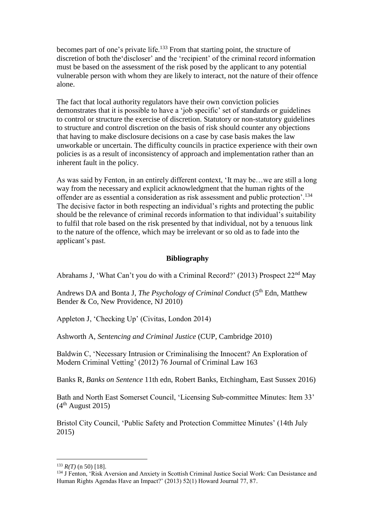becomes part of one's private life.<sup>133</sup> From that starting point, the structure of discretion of both the'discloser' and the 'recipient' of the criminal record information must be based on the assessment of the risk posed by the applicant to any potential vulnerable person with whom they are likely to interact, not the nature of their offence alone.

The fact that local authority regulators have their own conviction policies demonstrates that it is possible to have a 'job specific' set of standards or guidelines to control or structure the exercise of discretion. Statutory or non-statutory guidelines to structure and control discretion on the basis of risk should counter any objections that having to make disclosure decisions on a case by case basis makes the law unworkable or uncertain. The difficulty councils in practice experience with their own policies is as a result of inconsistency of approach and implementation rather than an inherent fault in the policy.

As was said by Fenton, in an entirely different context, 'It may be…we are still a long way from the necessary and explicit acknowledgment that the human rights of the offender are as essential a consideration as risk assessment and public protection'.<sup>134</sup> The decisive factor in both respecting an individual's rights and protecting the public should be the relevance of criminal records information to that individual's suitability to fulfil that role based on the risk presented by that individual, not by a tenuous link to the nature of the offence, which may be irrelevant or so old as to fade into the applicant's past.

# **Bibliography**

Abrahams J, 'What Can't you do with a Criminal Record?' (2013) Prospect 22nd May

Andrews DA and Bonta J, *The Psychology of Criminal Conduct* (5<sup>th</sup> Edn, Matthew Bender & Co, New Providence, NJ 2010)

Appleton J, 'Checking Up' (Civitas, London 2014)

Ashworth A, *Sentencing and Criminal Justice* (CUP, Cambridge 2010)

Baldwin C, 'Necessary Intrusion or Criminalising the Innocent? An Exploration of Modern Criminal Vetting' (2012) 76 Journal of Criminal Law 163

Banks R, *Banks on Sentence* 11th edn, Robert Banks, Etchingham, East Sussex 2016)

Bath and North East Somerset Council, 'Licensing Sub-committee Minutes: Item 33'  $(4<sup>th</sup>$  August 2015)

Bristol City Council, 'Public Safety and Protection Committee Minutes' (14th July 2015)

<u>.</u>

 $133$  *R(T)* (n 50) [18].

<sup>&</sup>lt;sup>134</sup> J Fenton, 'Risk Aversion and Anxiety in Scottish Criminal Justice Social Work: Can Desistance and Human Rights Agendas Have an Impact?' (2013) 52(1) Howard Journal 77, 87.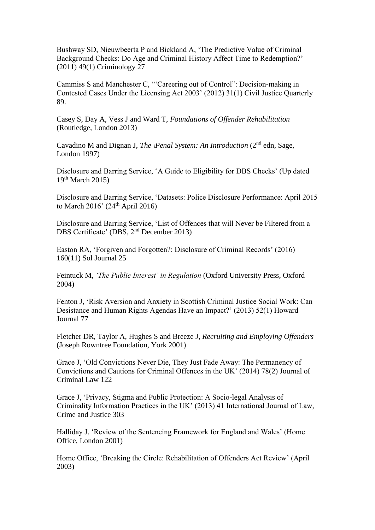Bushway SD, Nieuwbeerta P and Bickland A, 'The Predictive Value of Criminal Background Checks: Do Age and Criminal History Affect Time to Redemption?' (2011) 49(1) Criminology 27

Cammiss S and Manchester C, '"Careering out of Control": Decision-making in Contested Cases Under the Licensing Act 2003' (2012) 31(1) Civil Justice Quarterly 89.

Casey S, Day A, Vess J and Ward T, *Foundations of Offender Rehabilitation*  (Routledge, London 2013)

Cavadino M and Dignan J, *The \Penal System: An Introduction (2<sup>nd</sup> edn, Sage,* London 1997)

Disclosure and Barring Service, 'A Guide to Eligibility for DBS Checks' (Up dated  $19<sup>th</sup> March 2015$ 

Disclosure and Barring Service, 'Datasets: Police Disclosure Performance: April 2015 to March 2016' (24 th April 2016)

Disclosure and Barring Service, 'List of Offences that will Never be Filtered from a DBS Certificate' (DBS, 2<sup>nd</sup> December 2013)

Easton RA, 'Forgiven and Forgotten?: Disclosure of Criminal Records' (2016) 160(11) Sol Journal 25

Feintuck M, *'The Public Interest' in Regulation* (Oxford University Press, Oxford 2004)

Fenton J, 'Risk Aversion and Anxiety in Scottish Criminal Justice Social Work: Can Desistance and Human Rights Agendas Have an Impact?' (2013) 52(1) Howard Journal 77

Fletcher DR, Taylor A, Hughes S and Breeze J, *Recruiting and Employing Offenders*  (Joseph Rowntree Foundation, York 2001)

Grace J, 'Old Convictions Never Die, They Just Fade Away: The Permanency of Convictions and Cautions for Criminal Offences in the UK' (2014) 78(2) Journal of Criminal Law 122

Grace J, 'Privacy, Stigma and Public Protection: A Socio-legal Analysis of Criminality Information Practices in the UK' (2013) 41 International Journal of Law, Crime and Justice 303

Halliday J, 'Review of the Sentencing Framework for England and Wales' (Home Office, London 2001)

Home Office, 'Breaking the Circle: Rehabilitation of Offenders Act Review' (April 2003)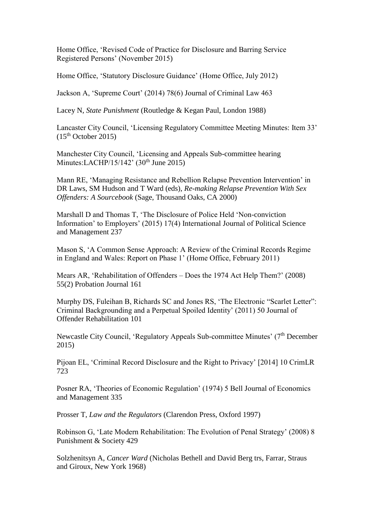Home Office, 'Revised Code of Practice for Disclosure and Barring Service Registered Persons' (November 2015)

Home Office, 'Statutory Disclosure Guidance' (Home Office, July 2012)

Jackson A, 'Supreme Court' (2014) 78(6) Journal of Criminal Law 463

Lacey N, *State Punishment* (Routledge & Kegan Paul, London 1988)

Lancaster City Council, 'Licensing Regulatory Committee Meeting Minutes: Item 33'  $(15<sup>th</sup> October 2015)$ 

Manchester City Council, 'Licensing and Appeals Sub-committee hearing Minutes:LACHP/15/142'  $(30<sup>th</sup>$  June 2015)

Mann RE, 'Managing Resistance and Rebellion Relapse Prevention Intervention' in DR Laws, SM Hudson and T Ward (eds), *Re-making Relapse Prevention With Sex Offenders: A Sourcebook* (Sage, Thousand Oaks, CA 2000)

Marshall D and Thomas T, 'The Disclosure of Police Held 'Non-conviction Information' to Employers' (2015) 17(4) International Journal of Political Science and Management 237

Mason S, 'A Common Sense Approach: A Review of the Criminal Records Regime in England and Wales: Report on Phase 1' (Home Office, February 2011)

Mears AR, 'Rehabilitation of Offenders – Does the 1974 Act Help Them?' (2008) 55(2) Probation Journal 161

Murphy DS, Fuleihan B, Richards SC and Jones RS, 'The Electronic "Scarlet Letter": Criminal Backgrounding and a Perpetual Spoiled Identity' (2011) 50 Journal of Offender Rehabilitation 101

Newcastle City Council, 'Regulatory Appeals Sub-committee Minutes' (7<sup>th</sup> December 2015)

Pijoan EL, 'Criminal Record Disclosure and the Right to Privacy' [2014] 10 CrimLR 723

Posner RA, 'Theories of Economic Regulation' (1974) 5 Bell Journal of Economics and Management 335

Prosser T, *Law and the Regulators* (Clarendon Press, Oxford 1997)

Robinson G, 'Late Modern Rehabilitation: The Evolution of Penal Strategy' (2008) 8 Punishment & Society 429

Solzhenitsyn A, *Cancer Ward* (Nicholas Bethell and David Berg trs, Farrar, Straus and Giroux, New York 1968)